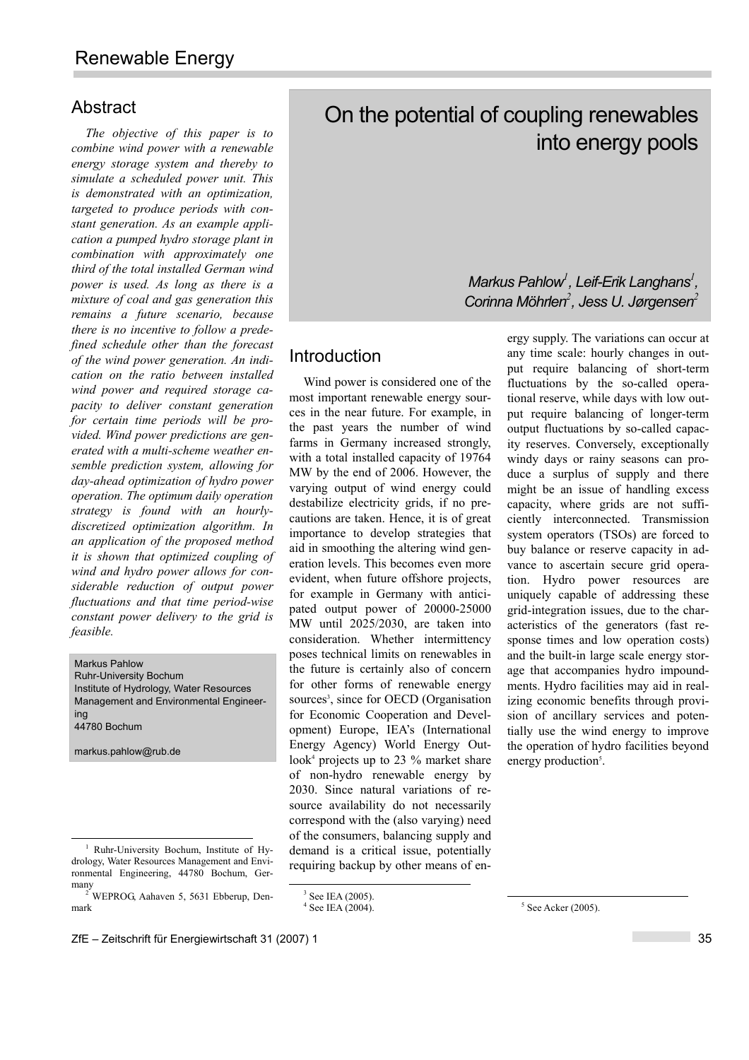## Abstract

*The objective of this paper is to combine wind power with a renewable energy storage system and thereby to simulate a scheduled power unit. This is demonstrated with an optimization, targeted to produce periods with constant generation. As an example application a pumped hydro storage plant in combination with approximately one third of the total installed German wind power is used. As long as there is a mixture of coal and gas generation this remains a future scenario, because there is no incentive to follow a predefined schedule other than the forecast of the wind power generation. An indication on the ratio between installed wind power and required storage capacity to deliver constant generation for certain time periods will be provided. Wind power predictions are generated with a multi-scheme weather ensemble prediction system, allowing for day-ahead optimization of hydro power operation. The optimum daily operation strategy is found with an hourlydiscretized optimization algorithm. In an application of the proposed method it is shown that optimized coupling of wind and hydro power allows for considerable reduction of output power fluctuations and that time period-wise constant power delivery to the grid is feasible.* 

Markus Pahlow Ruhr-University Bochum Institute of Hydrology, Water Resources

Management and Environmental Engineering 44780 Bochum

markus.pahlow@rub.de

 $\frac{1}{3}$ 

 $3$  See IEA (2005). 4 See IEA (2004).

# On the potential of coupling renewables into energy pools

# *Markus Pahlow<sup>1</sup> , Leif-Erik Langhans<sup>1</sup> , Corinna Mˆhrlen<sup>2</sup> , Jess U. J¯rgensen<sup>2</sup>*

# Introduction

Wind power is considered one of the most important renewable energy sources in the near future. For example, in the past years the number of wind farms in Germany increased strongly, with a total installed capacity of 19764 MW by the end of 2006. However, the varying output of wind energy could destabilize electricity grids, if no precautions are taken. Hence, it is of great importance to develop strategies that aid in smoothing the altering wind generation levels. This becomes even more evident, when future offshore projects, for example in Germany with anticipated output power of 20000-25000 MW until 2025/2030, are taken into consideration. Whether intermittency poses technical limits on renewables in the future is certainly also of concern for other forms of renewable energy sources<sup>3</sup>, since for OECD (Organisation for Economic Cooperation and Development) Europe, IEA's (International Energy Agency) World Energy Outlook<sup>4</sup> projects up to 23 % market share of non-hydro renewable energy by 2030. Since natural variations of resource availability do not necessarily correspond with the (also varying) need of the consumers, balancing supply and demand is a critical issue, potentially requiring backup by other means of energy supply. The variations can occur at any time scale: hourly changes in output require balancing of short-term fluctuations by the so-called operational reserve, while days with low output require balancing of longer-term output fluctuations by so-called capacity reserves. Conversely, exceptionally windy days or rainy seasons can produce a surplus of supply and there might be an issue of handling excess capacity, where grids are not sufficiently interconnected. Transmission system operators (TSOs) are forced to buy balance or reserve capacity in advance to ascertain secure grid operation. Hydro power resources are uniquely capable of addressing these grid-integration issues, due to the characteristics of the generators (fast response times and low operation costs) and the built-in large scale energy storage that accompanies hydro impoundments. Hydro facilities may aid in realizing economic benefits through provision of ancillary services and potentially use the wind energy to improve the operation of hydro facilities beyond energy production<sup>5</sup>.

 $\frac{1}{1}$  Ruhr-University Bochum, Institute of Hydrology, Water Resources Management and Environmental Engineering, 44780 Bochum, Ger-

many 2 WEPROG, Aahaven 5, 5631 Ebberup, Denmark

 $\frac{1}{5}$  $5$  See Acker (2005).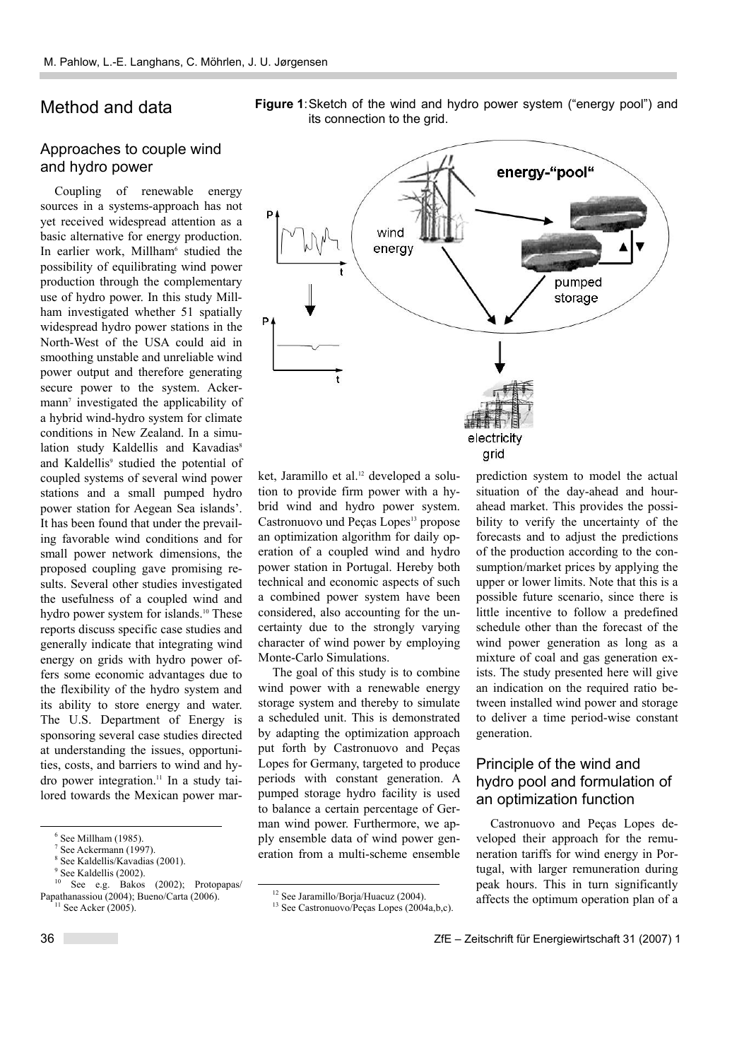# Method and data

#### Approaches to couple wind and hydro power

Coupling of renewable energy sources in a systems-approach has not yet received widespread attention as a basic alternative for energy production. In earlier work, Millham<sup>6</sup> studied the possibility of equilibrating wind power production through the complementary use of hydro power. In this study Millham investigated whether 51 spatially widespread hydro power stations in the North-West of the USA could aid in smoothing unstable and unreliable wind power output and therefore generating secure power to the system. Ackermann7 investigated the applicability of a hybrid wind-hydro system for climate conditions in New Zealand. In a simulation study Kaldellis and Kavadias<sup>8</sup> and Kaldellis<sup>9</sup> studied the potential of coupled systems of several wind power stations and a small pumped hydro power station for Aegean Sea islands'. It has been found that under the prevailing favorable wind conditions and for small power network dimensions, the proposed coupling gave promising results. Several other studies investigated the usefulness of a coupled wind and hydro power system for islands.<sup>10</sup> These reports discuss specific case studies and generally indicate that integrating wind energy on grids with hydro power offers some economic advantages due to the flexibility of the hydro system and its ability to store energy and water. The U.S. Department of Energy is sponsoring several case studies directed at understanding the issues, opportunities, costs, and barriers to wind and hydro power integration.11 In a study tailored towards the Mexican power mar-





ket, Jaramillo et al.<sup>12</sup> developed a solution to provide firm power with a hybrid wind and hydro power system. Castronuovo und Peças Lopes<sup>13</sup> propose an optimization algorithm for daily operation of a coupled wind and hydro power station in Portugal. Hereby both technical and economic aspects of such a combined power system have been considered, also accounting for the uncertainty due to the strongly varying character of wind power by employing Monte-Carlo Simulations.

The goal of this study is to combine wind power with a renewable energy storage system and thereby to simulate a scheduled unit. This is demonstrated by adapting the optimization approach put forth by Castronuovo and Peças Lopes for Germany, targeted to produce periods with constant generation. A pumped storage hydro facility is used to balance a certain percentage of German wind power. Furthermore, we apply ensemble data of wind power generation from a multi-scheme ensemble prediction system to model the actual situation of the day-ahead and hourahead market. This provides the possibility to verify the uncertainty of the forecasts and to adjust the predictions of the production according to the consumption/market prices by applying the upper or lower limits. Note that this is a possible future scenario, since there is little incentive to follow a predefined schedule other than the forecast of the wind power generation as long as a mixture of coal and gas generation exists. The study presented here will give an indication on the required ratio between installed wind power and storage to deliver a time period-wise constant generation.

### Principle of the wind and hydro pool and formulation of an optimization function

Castronuovo and Peças Lopes developed their approach for the remuneration tariffs for wind energy in Portugal, with larger remuneration during peak hours. This in turn significantly affects the optimum operation plan of a

 <sup>6</sup> See Millham (1985).

 $7$  See Ackermann (1997).

<sup>8</sup> See Kaldellis/Kavadias (2001).

<sup>&</sup>lt;sup>9</sup> See Kaldellis (2002).

See e.g. Bakos (2002); Protopapas/ Papathanassiou (2004); Bueno/Carta (2006).<br><sup>11</sup> See Acker (2005).

<sup>&</sup>lt;sup>12</sup> See Jaramillo/Borja/Huacuz (2004).

 $13$  See Castronuovo/Peças Lopes (2004a,b,c).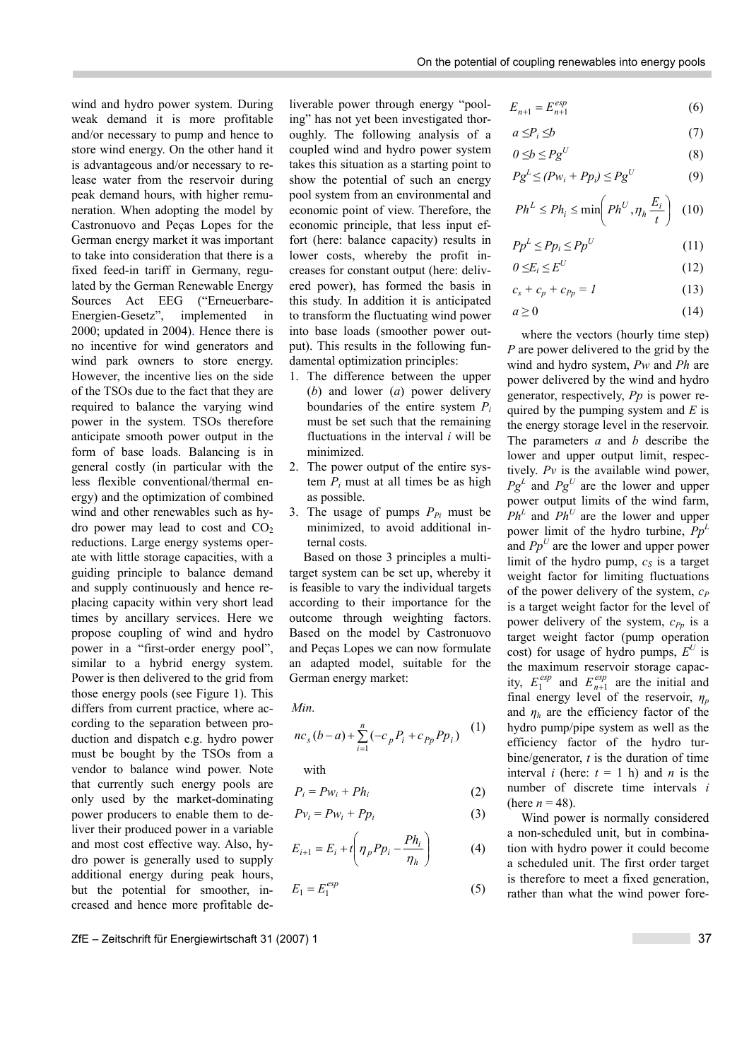wind and hydro power system. During weak demand it is more profitable and/or necessary to pump and hence to store wind energy. On the other hand it is advantageous and/or necessary to release water from the reservoir during peak demand hours, with higher remuneration. When adopting the model by Castronuovo and Peças Lopes for the German energy market it was important to take into consideration that there is a fixed feed-in tariff in Germany, regulated by the German Renewable Energy Sources Act EEG ("Erneuerbare-Energien-Gesetz", implemented in 2000; updated in 2004). Hence there is no incentive for wind generators and wind park owners to store energy. However, the incentive lies on the side of the TSOs due to the fact that they are required to balance the varying wind power in the system. TSOs therefore anticipate smooth power output in the form of base loads. Balancing is in general costly (in particular with the less flexible conventional/thermal energy) and the optimization of combined wind and other renewables such as hydro power may lead to cost and  $CO<sub>2</sub>$ reductions. Large energy systems operate with little storage capacities, with a guiding principle to balance demand and supply continuously and hence replacing capacity within very short lead times by ancillary services. Here we propose coupling of wind and hydro power in a "first-order energy pool", similar to a hybrid energy system. Power is then delivered to the grid from those energy pools (see Figure 1). This differs from current practice, where according to the separation between production and dispatch e.g. hydro power must be bought by the TSOs from a vendor to balance wind power. Note that currently such energy pools are only used by the market-dominating power producers to enable them to deliver their produced power in a variable and most cost effective way. Also, hydro power is generally used to supply additional energy during peak hours, but the potential for smoother, increased and hence more profitable deliverable power through energy "pooling" has not yet been investigated thoroughly. The following analysis of a coupled wind and hydro power system takes this situation as a starting point to show the potential of such an energy pool system from an environmental and economic point of view. Therefore, the economic principle, that less input effort (here: balance capacity) results in lower costs, whereby the profit increases for constant output (here: delivered power), has formed the basis in this study. In addition it is anticipated to transform the fluctuating wind power into base loads (smoother power output). This results in the following fundamental optimization principles:

- 1. The difference between the upper (*b*) and lower (*a*) power delivery boundaries of the entire system *Pi* must be set such that the remaining fluctuations in the interval *i* will be minimized.
- 2. The power output of the entire system  $P_i$  must at all times be as high as possible.
- 3. The usage of pumps  $P_{Pi}$  must be minimized, to avoid additional internal costs.

Based on those 3 principles a multitarget system can be set up, whereby it is feasible to vary the individual targets according to their importance for the outcome through weighting factors. Based on the model by Castronuovo and Peças Lopes we can now formulate an adapted model, suitable for the German energy market:

*Min* .

$$
nc_{s}(b-a)+\sum_{i=1}^{n}(-c_{p}P_{i}+c_{p p}P p_{i})
$$
 (1)

with

$$
P_i = P w_i + P h_i \tag{2}
$$

$$
Pv_i = Pw_i + Pp_i \tag{3}
$$

$$
E_{i+1} = E_i + t \left( \eta_p P p_i - \frac{P h_i}{\eta_h} \right) \tag{4}
$$

$$
E_1 = E_1^{esp} \tag{5}
$$

 $E_{n+1} = E_{n+1}^{esp}$  (6)

$$
a \leq P_i \leq b \tag{7}
$$

$$
0 \leq b \leq P g^U \tag{8}
$$

$$
PgL \le (Pwi + Ppi) \le PgU
$$
 (9)

$$
Ph^L \le Ph_i \le \min\left( Ph^U, \eta_h \frac{E_i}{t} \right) \tag{10}
$$

$$
P p^L \le P p_i \le P p^U \tag{11}
$$

$$
0 \leq E_i \leq E^U \tag{12}
$$

$$
c_s + c_p + c_{Pp} = 1 \tag{13}
$$

$$
a \ge 0 \tag{14}
$$

where the vectors (hourly time step) *P* are power delivered to the grid by the wind and hydro system, *Pw* and *Ph* are power delivered by the wind and hydro generator, respectively, *Pp* is power required by the pumping system and *E* is the energy storage level in the reservoir. The parameters *a* and *b* describe the lower and upper output limit, respectively. *Pv* is the available wind power,  $Pg^L$  and  $Pg^U$  are the lower and upper power output limits of the wind farm,  $Ph<sup>L</sup>$  and  $Ph<sup>U</sup>$  are the lower and upper power limit of the hydro turbine, *Pp<sup>L</sup>* and  $Pp^U$  are the lower and upper power limit of the hydro pump,  $c_s$  is a target weight factor for limiting fluctuations of the power delivery of the system,  $c_P$ is a target weight factor for the level of power delivery of the system,  $c_{Pp}$  is a target weight factor (pump operation cost) for usage of hydro pumps,  $E^U$  is the maximum reservoir storage capacity,  $E_1^{esp}$  and  $E_{n+1}^{esp}$  are the initial and final energy level of the reservoir,  $\eta_p$ and  $\eta_h$  are the efficiency factor of the hydro pump/pipe system as well as the efficiency factor of the hydro turbine/generator, *t* is the duration of time interval *i* (here:  $t = 1$  h) and *n* is the number of discrete time intervals *i* (here  $n = 48$ ).

Wind power is normally considered a non-scheduled unit, but in combination with hydro power it could become a scheduled unit. The first order target is therefore to meet a fixed generation, rather than what the wind power fore-

ZfE ñ Zeitschrift f¸r Energiewirtschaft 31 (2007) 1 37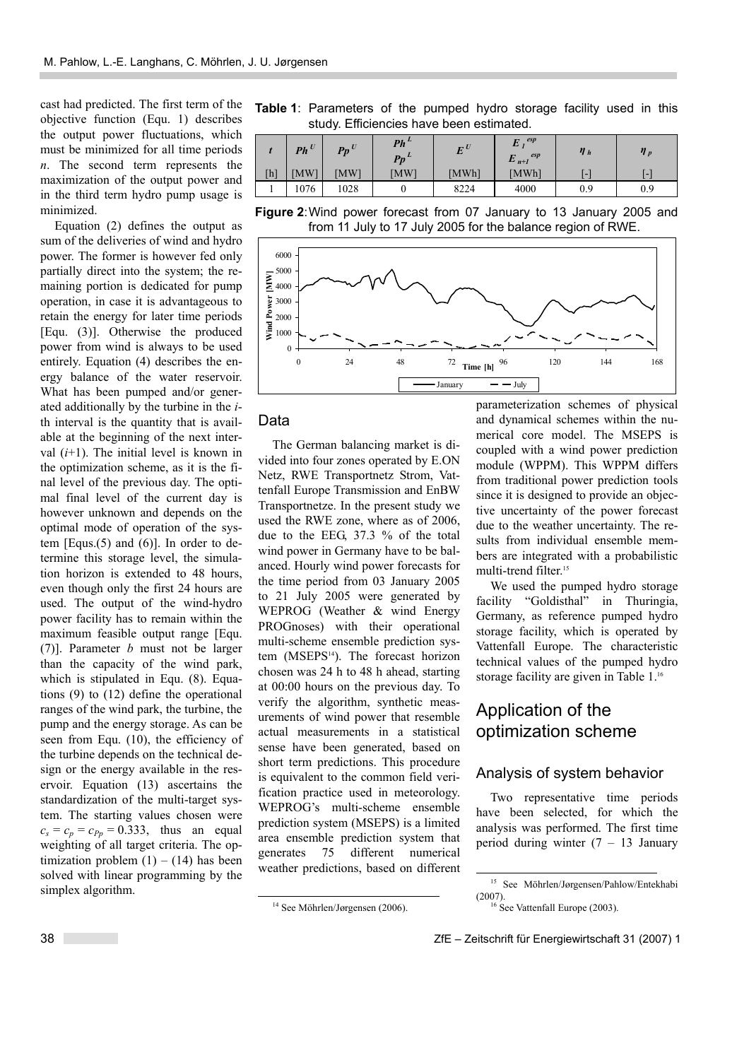cast had predicted. The first term of the objective function (Equ. 1) describes the output power fluctuations, which must be minimized for all time periods *n*. The second term represents the maximization of the output power and in the third term hydro pump usage is minimized.

Equation (2) defines the output as sum of the deliveries of wind and hydro power. The former is however fed only partially direct into the system; the remaining portion is dedicated for pump operation, in case it is advantageous to retain the energy for later time periods [Equ. (3)]. Otherwise the produced power from wind is always to be used entirely. Equation (4) describes the energy balance of the water reservoir. What has been pumped and/or generated additionally by the turbine in the *i*th interval is the quantity that is available at the beginning of the next interval  $(i+1)$ . The initial level is known in the optimization scheme, as it is the final level of the previous day. The optimal final level of the current day is however unknown and depends on the optimal mode of operation of the system  $[Equs.(5)$  and  $(6)]$ . In order to determine this storage level, the simulation horizon is extended to 48 hours, even though only the first 24 hours are used. The output of the wind-hydro power facility has to remain within the maximum feasible output range [Equ. (7)]. Parameter *b* must not be larger than the capacity of the wind park, which is stipulated in Equ. (8). Equations (9) to (12) define the operational ranges of the wind park, the turbine, the pump and the energy storage. As can be seen from Equ. (10), the efficiency of the turbine depends on the technical design or the energy available in the reservoir. Equation (13) ascertains the standardization of the multi-target system. The starting values chosen were  $c_s = c_p = c_{Pp} = 0.333$ , thus an equal weighting of all target criteria. The optimization problem  $(1) - (14)$  has been solved with linear programming by the simplex algorithm.

|                                          | <b>Table 1:</b> Parameters of the pumped hydro storage facility used in this |  |  |  |  |  |  |  |
|------------------------------------------|------------------------------------------------------------------------------|--|--|--|--|--|--|--|
| study. Efficiencies have been estimated. |                                                                              |  |  |  |  |  |  |  |

| [h]<br>MW <sub>1</sub><br>[MWh]<br>MW <sup>1</sup><br>[MWh]<br><b>MW</b><br>$\overline{\phantom{0}}$<br>$\overline{\phantom{0}}$<br>4000<br>1028<br>076<br>8224<br>0.9<br>0.9 | $Ph$ <sup>U</sup> | $Pp^U$ | $Ph^L$<br>$Pp^L$ | $E^U$ | esp<br>$E_I$<br>esp<br>$E_{n+1}$ | $\eta_h$ | $\eta_p$ |
|-------------------------------------------------------------------------------------------------------------------------------------------------------------------------------|-------------------|--------|------------------|-------|----------------------------------|----------|----------|
|                                                                                                                                                                               |                   |        |                  |       |                                  |          |          |
|                                                                                                                                                                               |                   |        |                  |       |                                  |          |          |

**Figure 2**: Wind power forecast from 07 January to 13 January 2005 and from 11 July to 17 July 2005 for the balance region of RWE.



#### Data

The German balancing market is divided into four zones operated by E.ON Netz, RWE Transportnetz Strom, Vattenfall Europe Transmission and EnBW Transportnetze. In the present study we used the RWE zone, where as of 2006, due to the EEG, 37.3 % of the total wind power in Germany have to be balanced. Hourly wind power forecasts for the time period from 03 January 2005 to 21 July 2005 were generated by WEPROG (Weather & wind Energy PROGnoses) with their operational multi-scheme ensemble prediction system (MSEPS<sup>14</sup>). The forecast horizon chosen was 24 h to 48 h ahead, starting at 00:00 hours on the previous day. To verify the algorithm, synthetic measurements of wind power that resemble actual measurements in a statistical sense have been generated, based on short term predictions. This procedure is equivalent to the common field verification practice used in meteorology. WEPROG's multi-scheme ensemble prediction system (MSEPS) is a limited area ensemble prediction system that generates 75 different numerical weather predictions, based on different

<sup>14</sup> See Möhrlen/Jørgensen (2006).

parameterization schemes of physical and dynamical schemes within the numerical core model. The MSEPS is coupled with a wind power prediction module (WPPM). This WPPM differs from traditional power prediction tools since it is designed to provide an objective uncertainty of the power forecast due to the weather uncertainty. The results from individual ensemble members are integrated with a probabilistic multi-trend filter.<sup>15</sup>

We used the pumped hydro storage facility "Goldisthal" in Thuringia, Germany, as reference pumped hydro storage facility, which is operated by Vattenfall Europe. The characteristic technical values of the pumped hydro storage facility are given in Table 1.<sup>16</sup>

# Application of the optimization scheme

#### Analysis of system behavior

Two representative time periods have been selected, for which the analysis was performed. The first time period during winter  $(7 - 13)$  January

<sup>&</sup>lt;sup>15</sup> See Möhrlen/Jørgensen/Pahlow/Entekhabi  $(2007)$ .<br><sup>16</sup> See Vattenfall Europe (2003).

<sup>38</sup> ZfE – Zeitschrift für Energiewirtschaft 31 (2007) 1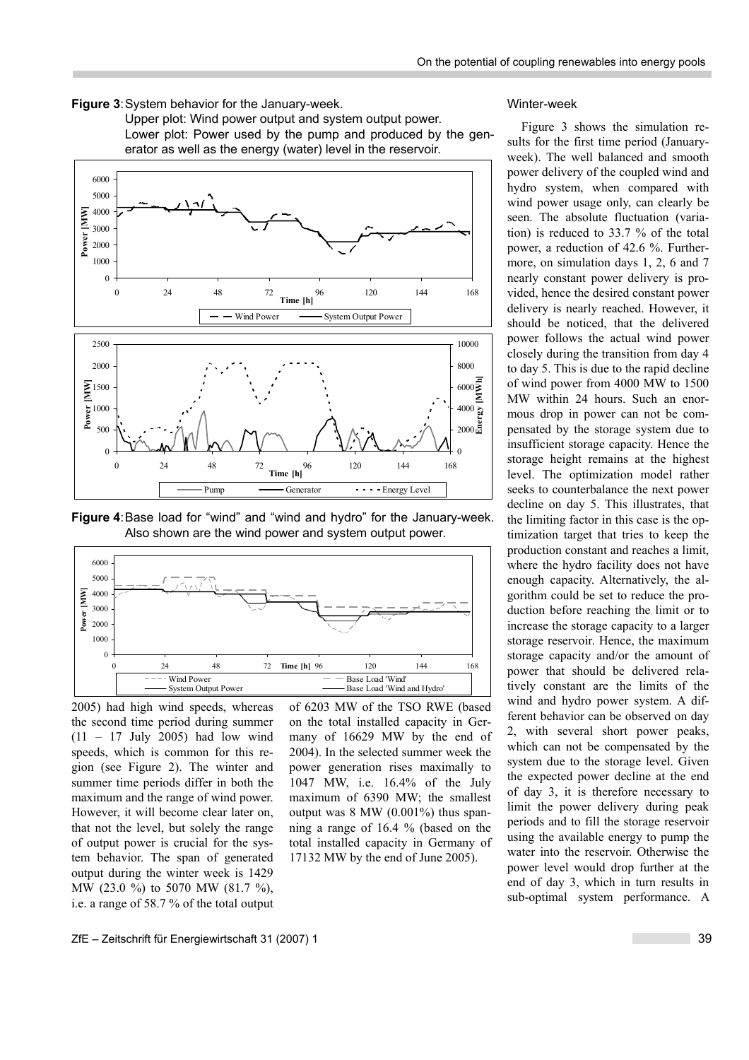

Upper plot: Wind power output and system output power. Lower plot: Power used by the pump and produced by the generator as well as the energy (water) level in the reservoir.



**Figure 4**: Base load for "wind" and "wind and hydro" for the January-week. Also shown are the wind power and system output power.



2005) had high wind speeds, whereas the second time period during summer  $(11 - 17$  July 2005) had low wind speeds, which is common for this region (see Figure 2). The winter and summer time periods differ in both the maximum and the range of wind power. However, it will become clear later on, that not the level, but solely the range of output power is crucial for the system behavior. The span of generated output during the winter week is 1429 MW (23.0 %) to 5070 MW (81.7 %), i.e. a range of 58.7 % of the total output of 6203 MW of the TSO RWE (based on the total installed capacity in Germany of 16629 MW by the end of 2004). In the selected summer week the power generation rises maximally to 1047 MW, i.e. 16.4% of the July maximum of 6390 MW; the smallest output was  $8 \text{ MW}$  (0.001%) thus spanning a range of 16.4 % (based on the total installed capacity in Germany of 17132 MW by the end of June 2005).

#### Winter-week

Figure 3 shows the simulation results for the first time period (Januaryweek). The well balanced and smooth power delivery of the coupled wind and hydro system, when compared with wind power usage only, can clearly be seen. The absolute fluctuation (variation) is reduced to 33.7 % of the total power, a reduction of 42.6 %. Furthermore, on simulation days 1, 2, 6 and 7 nearly constant power delivery is provided, hence the desired constant power delivery is nearly reached. However, it should be noticed, that the delivered power follows the actual wind power closely during the transition from day 4 to day 5. This is due to the rapid decline of wind power from 4000 MW to 1500 MW within 24 hours. Such an enormous drop in power can not be compensated by the storage system due to insufficient storage capacity. Hence the storage height remains at the highest level. The optimization model rather seeks to counterbalance the next power decline on day 5. This illustrates, that the limiting factor in this case is the optimization target that tries to keep the production constant and reaches a limit, where the hydro facility does not have enough capacity. Alternatively, the algorithm could be set to reduce the production before reaching the limit or to increase the storage capacity to a larger storage reservoir. Hence, the maximum storage capacity and/or the amount of power that should be delivered relatively constant are the limits of the wind and hydro power system. A different behavior can be observed on day 2, with several short power peaks, which can not be compensated by the system due to the storage level. Given the expected power decline at the end of day 3, it is therefore necessary to limit the power delivery during peak periods and to fill the storage reservoir using the available energy to pump the water into the reservoir. Otherwise the power level would drop further at the end of day 3, which in turn results in sub-optimal system performance. A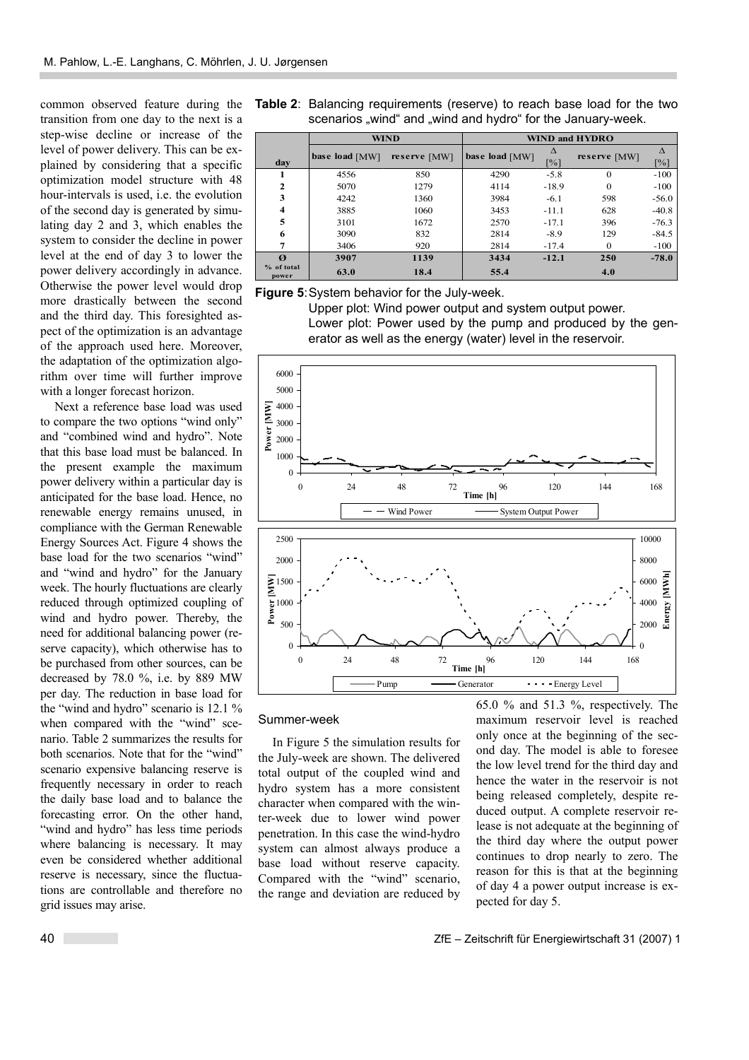common observed feature during the transition from one day to the next is a step-wise decline or increase of the level of power delivery. This can be explained by considering that a specific optimization model structure with 48 hour-intervals is used, i.e. the evolution of the second day is generated by simulating day 2 and 3, which enables the system to consider the decline in power level at the end of day 3 to lower the power delivery accordingly in advance. Otherwise the power level would drop more drastically between the second and the third day. This foresighted aspect of the optimization is an advantage of the approach used here. Moreover, the adaptation of the optimization algorithm over time will further improve with a longer forecast horizon.

Next a reference base load was used to compare the two options "wind only" and "combined wind and hydro". Note that this base load must be balanced. In the present example the maximum power delivery within a particular day is anticipated for the base load. Hence, no renewable energy remains unused, in compliance with the German Renewable Energy Sources Act. Figure 4 shows the base load for the two scenarios "wind" and "wind and hydro" for the January week. The hourly fluctuations are clearly reduced through optimized coupling of wind and hydro power. Thereby, the need for additional balancing power (reserve capacity), which otherwise has to be purchased from other sources, can be decreased by 78.0 %, i.e. by 889 MW per day. The reduction in base load for the "wind and hydro" scenario is  $12.1$  % when compared with the "wind" scenario. Table 2 summarizes the results for both scenarios. Note that for the "wind" scenario expensive balancing reserve is frequently necessary in order to reach the daily base load and to balance the forecasting error. On the other hand, "wind and hydro" has less time periods where balancing is necessary. It may even be considered whether additional reserve is necessary, since the fluctuations are controllable and therefore no grid issues may arise.

|                         | <b>WIND</b>    | <b>WIND and HYDRO</b> |                |                                |              |                   |
|-------------------------|----------------|-----------------------|----------------|--------------------------------|--------------|-------------------|
| day                     | base load [MW] | reserve [MW]          | base load [MW] | $\Lambda$<br>$\lceil\% \rceil$ | reserve [MW] | $\lceil\% \rceil$ |
|                         | 4556           | 850                   | 4290           | $-5.8$                         | $\Omega$     | $-100$            |
| $\mathbf{2}$            | 5070           | 1279                  | 4114           | $-18.9$                        | $\Omega$     | $-100$            |
| 3                       | 4242           | 1360                  | 3984           | $-6.1$                         | 598          | $-56.0$           |
| $\overline{\mathbf{4}}$ | 3885           | 1060                  | 3453           | $-11.1$                        | 628          | $-40.8$           |
| 5                       | 3101           | 1672                  | 2570           | $-17.1$                        | 396          | $-76.3$           |
| 6                       | 3090           | 832                   | 2814           | $-8.9$                         | 129          | $-84.5$           |
| 7                       | 3406           | 920                   | 2814           | $-17.4$                        | $\Omega$     | $-100$            |
| $\boldsymbol{q}$        | 3907           | 1139                  | 3434           | $-12.1$                        | 250          | $-78.0$           |
| % of total<br>power     | 63.0           | 18.4                  | 55.4           |                                | 4.0          |                   |

**Table 2**: Balancing requirements (reserve) to reach base load for the two scenarios "wind" and "wind and hydro" for the January-week.

**Figure 5**: System behavior for the July-week.

Upper plot: Wind power output and system output power. Lower plot: Power used by the pump and produced by the generator as well as the energy (water) level in the reservoir.



#### Summer-week

In Figure 5 the simulation results for the July-week are shown. The delivered total output of the coupled wind and hydro system has a more consistent character when compared with the winter-week due to lower wind power penetration. In this case the wind-hydro system can almost always produce a base load without reserve capacity. Compared with the "wind" scenario, the range and deviation are reduced by

65.0 % and 51.3 %, respectively. The maximum reservoir level is reached only once at the beginning of the second day. The model is able to foresee the low level trend for the third day and hence the water in the reservoir is not being released completely, despite reduced output. A complete reservoir release is not adequate at the beginning of the third day where the output power continues to drop nearly to zero. The reason for this is that at the beginning of day 4 a power output increase is expected for day 5.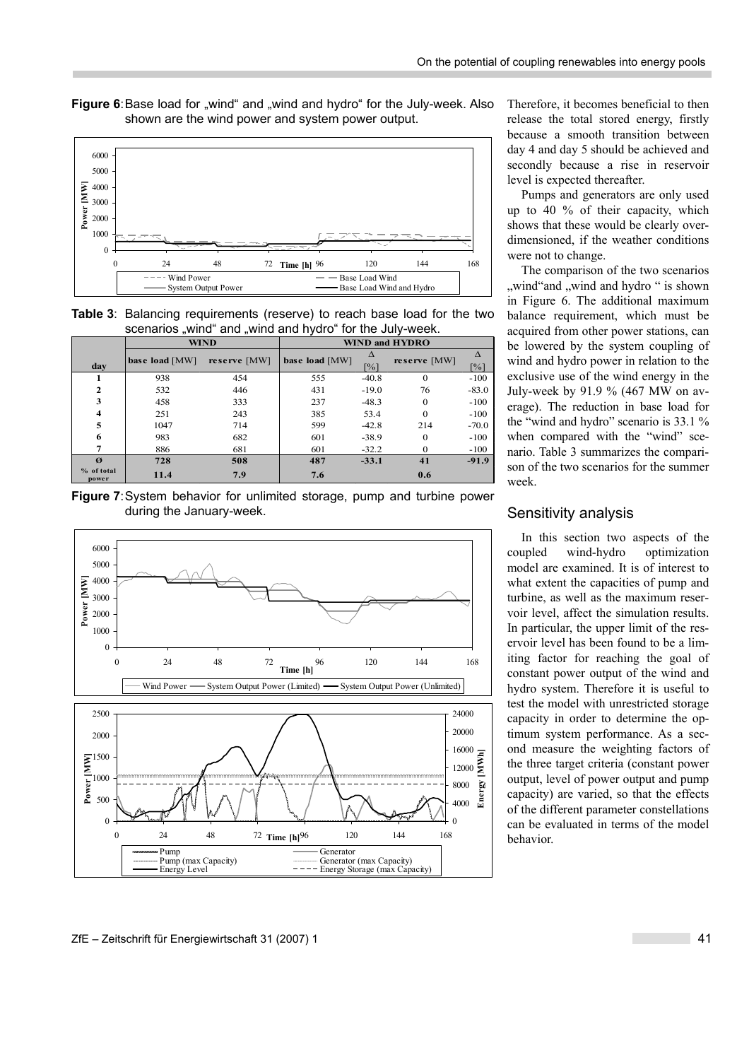**Figure 6**: Base load for "wind" and "wind and hydro" for the July-week. Also shown are the wind power and system power output.



**Table 3**: Balancing requirements (reserve) to reach base load for the two scenarios "wind" and "wind and hydro" for the July-week.

|                       | <b>WIND</b>    | <b>WIND and HYDRO</b> |                |                        |              |                        |
|-----------------------|----------------|-----------------------|----------------|------------------------|--------------|------------------------|
| day                   | base load [MW] | reserve [MW]          | base load [MW] | Δ<br>$\lceil\% \rceil$ | reserve [MW] | Δ<br>$\lceil\% \rceil$ |
|                       | 938            | 454                   | 555            | $-40.8$                | 0            | $-100$                 |
| $\overline{2}$        | 532            | 446                   | 431            | $-19.0$                | 76           | $-83.0$                |
| 3                     | 458            | 333                   | 237            | $-48.3$                | $\Omega$     | $-100$                 |
| 4                     | 251            | 243                   | 385            | 53.4                   | $\Omega$     | $-100$                 |
| 5                     | 1047           | 714                   | 599            | $-42.8$                | 214          | $-70.0$                |
| 6                     | 983            | 682                   | 601            | $-38.9$                | $\Omega$     | $-100$                 |
| 7                     | 886            | 681                   | 601            | $-32.2$                | 0            | $-100$                 |
| $\boldsymbol{\alpha}$ | 728            | 508                   | 487            | $-33.1$                | 41           | $-91.9$                |
| % of total<br>power   | 11.4           | 7.9                   | 7.6            |                        | 0.6          |                        |

**Figure 7**: System behavior for unlimited storage, pump and turbine power during the January-week.



Therefore, it becomes beneficial to then release the total stored energy, firstly because a smooth transition between day 4 and day 5 should be achieved and secondly because a rise in reservoir level is expected thereafter.

Pumps and generators are only used up to 40 % of their capacity, which shows that these would be clearly overdimensioned, if the weather conditions were not to change.

The comparison of the two scenarios "wind"and "wind and hydro" is shown in Figure 6. The additional maximum balance requirement, which must be acquired from other power stations, can be lowered by the system coupling of wind and hydro power in relation to the exclusive use of the wind energy in the July-week by 91.9 % (467 MW on average). The reduction in base load for the "wind and hydro" scenario is  $33.1 \%$ when compared with the "wind" scenario. Table 3 summarizes the comparison of the two scenarios for the summer week.

#### Sensitivity analysis

In this section two aspects of the coupled wind-hydro optimization model are examined. It is of interest to what extent the capacities of pump and turbine, as well as the maximum reservoir level, affect the simulation results. In particular, the upper limit of the reservoir level has been found to be a limiting factor for reaching the goal of constant power output of the wind and hydro system. Therefore it is useful to test the model with unrestricted storage capacity in order to determine the optimum system performance. As a second measure the weighting factors of the three target criteria (constant power output, level of power output and pump capacity) are varied, so that the effects of the different parameter constellations can be evaluated in terms of the model behavior.

#### ZfE – Zeitschrift für Energiewirtschaft 31 (2007) 1 41 and 2007 1 41 Annual 2007 1 41 Annual 2007 1 41 Annual 2007 1 41 Annual 2007 1 41 Annual 2007 1 41 Annual 2007 1 41 Annual 2007 1 4 Annual 2007 1 4 Annual 2007 1 4 Ann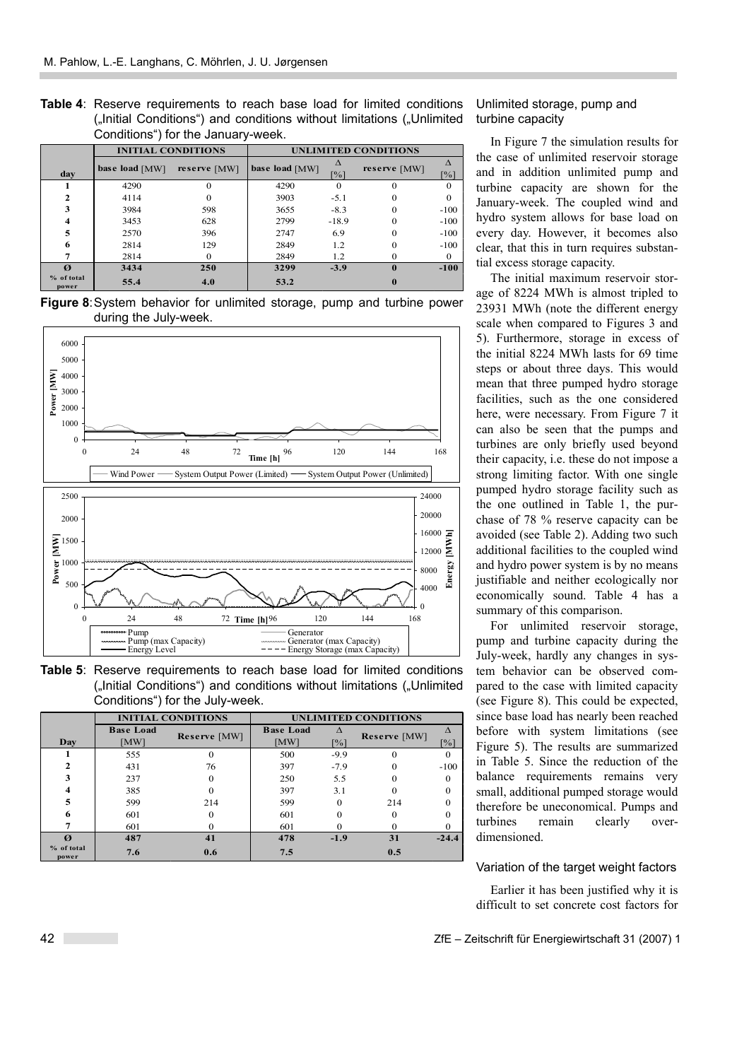**Table 4**: Reserve requirements to reach base load for limited conditions ("Initial Conditions") and conditions without limitations ("Unlimited Conditions") for the January-week.

|                       | <b>INITIAL CONDITIONS</b> | <b>UNLIMITED CONDITIONS</b> |                |                   |              |                                |
|-----------------------|---------------------------|-----------------------------|----------------|-------------------|--------------|--------------------------------|
| day                   | base load [MW]            | reserve [MW]                | base load [MW] | $\lceil\% \rceil$ | reserve [MW] | $\Lambda$<br>$\lceil\% \rceil$ |
|                       | 4290                      | 0                           | 4290           |                   |              |                                |
| 2                     | 4114                      | $\mathbf{0}$                | 3903           | $-5.1$            |              |                                |
| 3                     | 3984                      | 598                         | 3655           | $-8.3$            |              | $-100$                         |
| 4                     | 3453                      | 628                         | 2799           | $-18.9$           |              | $-100$                         |
| 5                     | 2570                      | 396                         | 2747           | 6.9               | 0            | $-100$                         |
| 6                     | 2814                      | 129                         | 2849           | 1.2               |              | $-100$                         |
|                       | 2814                      | 0                           | 2849           | 1.2               |              | $\Omega$                       |
| $\boldsymbol{\alpha}$ | 3434                      | 250                         | 3299           | $-3.9$            | $\mathbf{0}$ | $-100$                         |
| % of total<br>power   | 55.4                      | 4.0                         | 53.2           |                   |              |                                |

**Figure 8**: System behavior for unlimited storage, pump and turbine power during the July-week.



**Table 5**: Reserve requirements to reach base load for limited conditions ("Initial Conditions") and conditions without limitations ("Unlimited Conditions") for the July-week.

|                       | <b>INITIAL CONDITIONS</b> | <b>UNLIMITED CONDITIONS</b> |                          |                                |              |                    |
|-----------------------|---------------------------|-----------------------------|--------------------------|--------------------------------|--------------|--------------------|
| Day                   | <b>Base Load</b><br>[MW]  | Reserve [MW]                | <b>Base Load</b><br>[MW] | $\Lambda$<br>$\lceil\% \rceil$ | Reserve [MW] | $\lceil \% \rceil$ |
|                       | 555                       |                             | 500                      | $-9.9$                         |              | 0                  |
| $\mathbf{2}$          | 431                       | 76                          | 397                      | $-7.9$                         |              | $-100$             |
| 3                     | 237                       |                             | 250                      | 5.5                            |              | 0                  |
| $\overline{\bf{4}}$   | 385                       | 0                           | 397                      | 3.1                            |              | 0                  |
| 5                     | 599                       | 214                         | 599                      | 0                              | 214          |                    |
| 6                     | 601                       | 0                           | 601                      | 0                              |              |                    |
|                       | 601                       |                             | 601                      |                                |              |                    |
| $\boldsymbol{\sigma}$ | 487                       | 41                          | 478                      | $-1.9$                         | 31           | $-24.4$            |
| % of total<br>power   | 7.6                       | 0.6                         | 7.5                      |                                | 0.5          |                    |

#### Unlimited storage, pump and turbine capacity

In Figure 7 the simulation results for the case of unlimited reservoir storage and in addition unlimited pump and turbine capacity are shown for the January-week. The coupled wind and hydro system allows for base load on every day. However, it becomes also clear, that this in turn requires substantial excess storage capacity.

The initial maximum reservoir storage of 8224 MWh is almost tripled to 23931 MWh (note the different energy scale when compared to Figures 3 and 5). Furthermore, storage in excess of the initial 8224 MWh lasts for 69 time steps or about three days. This would mean that three pumped hydro storage facilities, such as the one considered here, were necessary. From Figure 7 it can also be seen that the pumps and turbines are only briefly used beyond their capacity, i.e. these do not impose a strong limiting factor. With one single pumped hydro storage facility such as the one outlined in Table 1, the purchase of 78 % reserve capacity can be avoided (see Table 2). Adding two such additional facilities to the coupled wind and hydro power system is by no means justifiable and neither ecologically nor economically sound. Table 4 has a summary of this comparison.

For unlimited reservoir storage, pump and turbine capacity during the July-week, hardly any changes in system behavior can be observed compared to the case with limited capacity (see Figure 8). This could be expected, since base load has nearly been reached before with system limitations (see Figure 5). The results are summarized in Table 5. Since the reduction of the balance requirements remains very small, additional pumped storage would therefore be uneconomical. Pumps and turbines remain clearly overdimensioned.

#### Variation of the target weight factors

Earlier it has been justified why it is difficult to set concrete cost factors for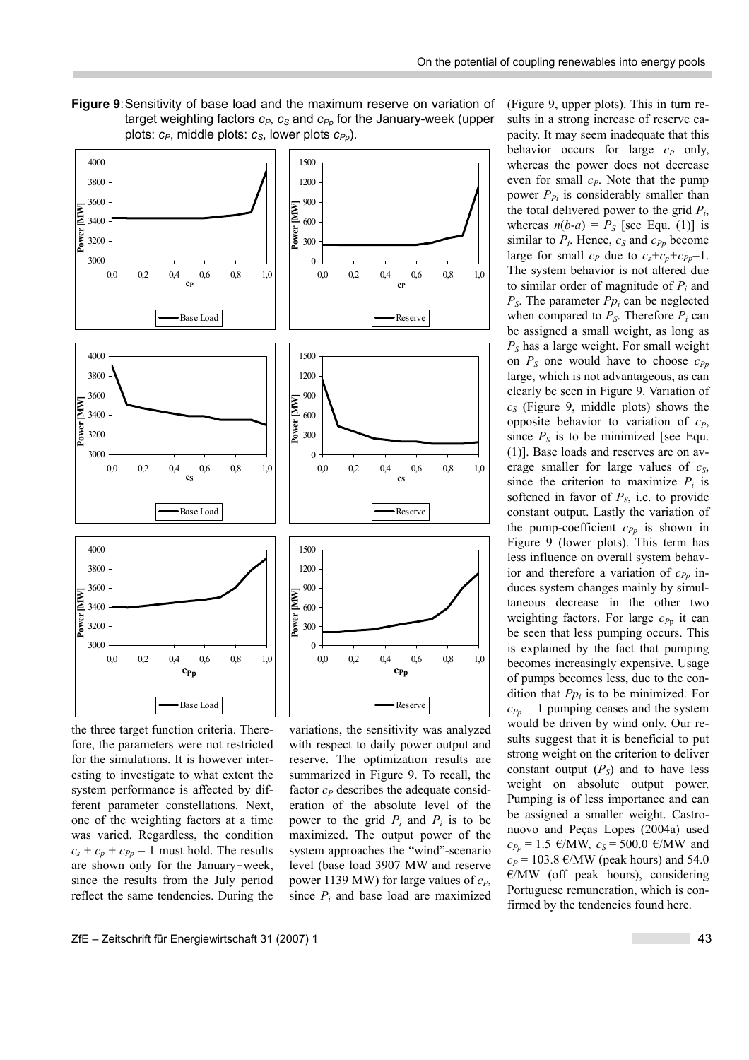(Figure 9, upper plots). This in turn results in a strong increase of reserve ca-

**Figure 9**: Sensitivity of base load and the maximum reserve on variation of target weighting factors  $c_P$ ,  $c_S$  and  $c_{P_p}$  for the January-week (upper plots:  $c_P$ , middle plots:  $c_S$ , lower plots  $c_{P_p}$ ).



the three target function criteria. Therefore, the parameters were not restricted for the simulations. It is however interesting to investigate to what extent the system performance is affected by different parameter constellations. Next, one of the weighting factors at a time was varied. Regardless, the condition  $c_s + c_p + c_{p_p} = 1$  must hold. The results are shown only for the January-week, since the results from the July period reflect the same tendencies. During the

variations, the sensitivity was analyzed with respect to daily power output and reserve. The optimization results are summarized in Figure 9. To recall, the factor  $c_P$  describes the adequate consideration of the absolute level of the power to the grid  $P_i$  and  $P_j$  is to be maximized. The output power of the system approaches the "wind"-scenario level (base load 3907 MW and reserve power 1139 MW) for large values of  $c_P$ , since  $P_i$  and base load are maximized

pacity. It may seem inadequate that this behavior occurs for large  $c_P$  only, whereas the power does not decrease even for small  $c_P$ . Note that the pump power  $P_{Pi}$  is considerably smaller than the total delivered power to the grid *Pi*, whereas  $n(b-a) = P_S$  [see Equ. (1)] is similar to  $P_i$ . Hence,  $c_S$  and  $c_{Pp}$  become large for small  $c_P$  due to  $c_s + c_p + c_{Pp} = 1$ . The system behavior is not altered due to similar order of magnitude of *Pi* and  $P<sub>S</sub>$ . The parameter  $P<sub>p<sub>i</sub></sub>$  can be neglected when compared to  $P_S$ . Therefore  $P_i$  can be assigned a small weight, as long as *PS* has a large weight. For small weight on  $P_S$  one would have to choose  $c_{Pp}$ large, which is not advantageous, as can clearly be seen in Figure 9. Variation of  $c_S$  (Figure 9, middle plots) shows the opposite behavior to variation of  $c_P$ , since  $P<sub>S</sub>$  is to be minimized [see Equ. (1)]. Base loads and reserves are on average smaller for large values of  $c_s$ , since the criterion to maximize  $P_i$  is softened in favor of  $P<sub>S</sub>$ , i.e. to provide constant output. Lastly the variation of the pump-coefficient  $c_{Pp}$  is shown in Figure 9 (lower plots). This term has less influence on overall system behavior and therefore a variation of  $c_{Pp}$  induces system changes mainly by simultaneous decrease in the other two weighting factors. For large  $c_{P<sub>p</sub>}$  it can be seen that less pumping occurs. This is explained by the fact that pumping becomes increasingly expensive. Usage of pumps becomes less, due to the condition that *Ppi* is to be minimized. For  $c_{Pp}$  = 1 pumping ceases and the system would be driven by wind only. Our results suggest that it is beneficial to put strong weight on the criterion to deliver constant output  $(P<sub>S</sub>)$  and to have less weight on absolute output power. Pumping is of less importance and can be assigned a smaller weight. Castronuovo and Peças Lopes (2004a) used  $c_{Pp} = 1.5 \text{ }\infty/\text{MW}, c_s = 500.0 \text{ }\infty/\text{MW}$  and  $c_P$  = 103.8 €/MW (peak hours) and 54.0  $E/MW$  (off peak hours), considering Portuguese remuneration, which is confirmed by the tendencies found here.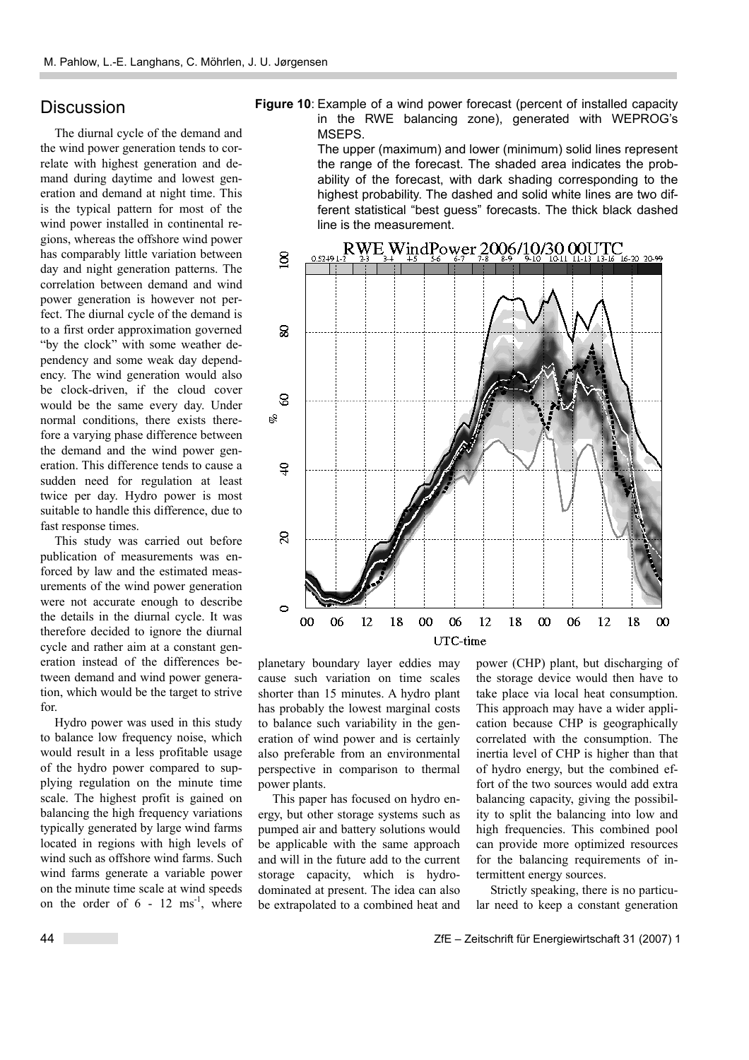## **Discussion**

The diurnal cycle of the demand and the wind power generation tends to correlate with highest generation and demand during daytime and lowest generation and demand at night time. This is the typical pattern for most of the wind power installed in continental regions, whereas the offshore wind power has comparably little variation between day and night generation patterns. The correlation between demand and wind power generation is however not perfect. The diurnal cycle of the demand is to a first order approximation governed "by the clock" with some weather dependency and some weak day dependency. The wind generation would also be clock-driven, if the cloud cover would be the same every day. Under normal conditions, there exists therefore a varying phase difference between the demand and the wind power generation. This difference tends to cause a sudden need for regulation at least twice per day. Hydro power is most suitable to handle this difference, due to fast response times.

This study was carried out before publication of measurements was enforced by law and the estimated measurements of the wind power generation were not accurate enough to describe the details in the diurnal cycle. It was therefore decided to ignore the diurnal cycle and rather aim at a constant generation instead of the differences between demand and wind power generation, which would be the target to strive for.

Hydro power was used in this study to balance low frequency noise, which would result in a less profitable usage of the hydro power compared to supplying regulation on the minute time scale. The highest profit is gained on balancing the high frequency variations typically generated by large wind farms located in regions with high levels of wind such as offshore wind farms. Such wind farms generate a variable power on the minute time scale at wind speeds on the order of  $6 - 12$  ms<sup>-1</sup>, where



The upper (maximum) and lower (minimum) solid lines represent the range of the forecast. The shaded area indicates the probability of the forecast, with dark shading corresponding to the highest probability. The dashed and solid white lines are two different statistical "best guess" forecasts. The thick black dashed line is the measurement.



planetary boundary layer eddies may cause such variation on time scales shorter than 15 minutes. A hydro plant has probably the lowest marginal costs to balance such variability in the generation of wind power and is certainly also preferable from an environmental perspective in comparison to thermal power plants.

This paper has focused on hydro energy, but other storage systems such as pumped air and battery solutions would be applicable with the same approach and will in the future add to the current storage capacity, which is hydrodominated at present. The idea can also be extrapolated to a combined heat and

power (CHP) plant, but discharging of the storage device would then have to take place via local heat consumption. This approach may have a wider application because CHP is geographically correlated with the consumption. The inertia level of CHP is higher than that of hydro energy, but the combined effort of the two sources would add extra balancing capacity, giving the possibility to split the balancing into low and high frequencies. This combined pool can provide more optimized resources for the balancing requirements of intermittent energy sources.

Strictly speaking, there is no particular need to keep a constant generation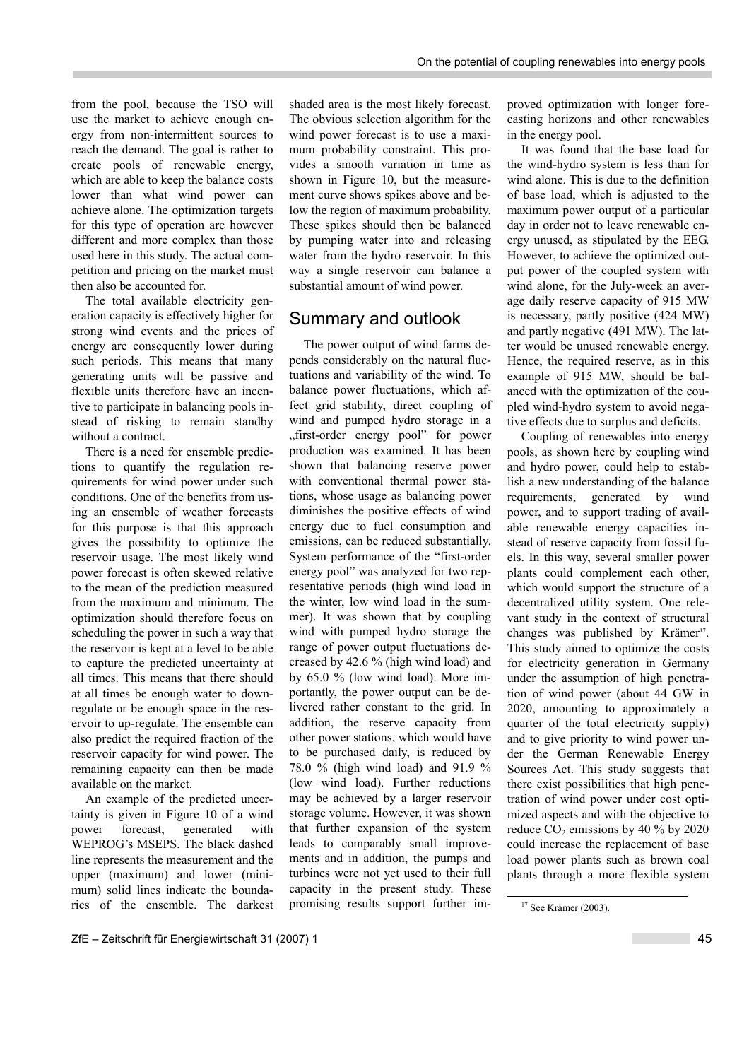from the pool, because the TSO will use the market to achieve enough energy from non-intermittent sources to reach the demand. The goal is rather to create pools of renewable energy, which are able to keep the balance costs lower than what wind power can achieve alone. The optimization targets for this type of operation are however different and more complex than those used here in this study. The actual competition and pricing on the market must then also be accounted for.

The total available electricity generation capacity is effectively higher for strong wind events and the prices of energy are consequently lower during such periods. This means that many generating units will be passive and flexible units therefore have an incentive to participate in balancing pools instead of risking to remain standby without a contract.

There is a need for ensemble predictions to quantify the regulation requirements for wind power under such conditions. One of the benefits from using an ensemble of weather forecasts for this purpose is that this approach gives the possibility to optimize the reservoir usage. The most likely wind power forecast is often skewed relative to the mean of the prediction measured from the maximum and minimum. The optimization should therefore focus on scheduling the power in such a way that the reservoir is kept at a level to be able to capture the predicted uncertainty at all times. This means that there should at all times be enough water to downregulate or be enough space in the reservoir to up-regulate. The ensemble can also predict the required fraction of the reservoir capacity for wind power. The remaining capacity can then be made available on the market.

An example of the predicted uncertainty is given in Figure 10 of a wind power forecast, generated with WEPROG's MSEPS. The black dashed line represents the measurement and the upper (maximum) and lower (minimum) solid lines indicate the boundaries of the ensemble. The darkest shaded area is the most likely forecast. The obvious selection algorithm for the wind power forecast is to use a maximum probability constraint. This provides a smooth variation in time as shown in Figure 10, but the measurement curve shows spikes above and below the region of maximum probability. These spikes should then be balanced by pumping water into and releasing water from the hydro reservoir. In this way a single reservoir can balance a substantial amount of wind power.

### Summary and outlook

The power output of wind farms depends considerably on the natural fluctuations and variability of the wind. To balance power fluctuations, which affect grid stability, direct coupling of wind and pumped hydro storage in a "first-order energy pool" for power production was examined. It has been shown that balancing reserve power with conventional thermal power stations, whose usage as balancing power diminishes the positive effects of wind energy due to fuel consumption and emissions, can be reduced substantially. System performance of the "first-order energy pool" was analyzed for two representative periods (high wind load in the winter, low wind load in the summer). It was shown that by coupling wind with pumped hydro storage the range of power output fluctuations decreased by 42.6 % (high wind load) and by 65.0 % (low wind load). More importantly, the power output can be delivered rather constant to the grid. In addition, the reserve capacity from other power stations, which would have to be purchased daily, is reduced by 78.0 % (high wind load) and 91.9 % (low wind load). Further reductions may be achieved by a larger reservoir storage volume. However, it was shown that further expansion of the system leads to comparably small improvements and in addition, the pumps and turbines were not yet used to their full capacity in the present study. These promising results support further improved optimization with longer forecasting horizons and other renewables in the energy pool.

It was found that the base load for the wind-hydro system is less than for wind alone. This is due to the definition of base load, which is adjusted to the maximum power output of a particular day in order not to leave renewable energy unused, as stipulated by the EEG. However, to achieve the optimized output power of the coupled system with wind alone, for the July-week an average daily reserve capacity of 915 MW is necessary, partly positive (424 MW) and partly negative (491 MW). The latter would be unused renewable energy. Hence, the required reserve, as in this example of 915 MW, should be balanced with the optimization of the coupled wind-hydro system to avoid negative effects due to surplus and deficits.

Coupling of renewables into energy pools, as shown here by coupling wind and hydro power, could help to establish a new understanding of the balance requirements, generated by wind power, and to support trading of available renewable energy capacities instead of reserve capacity from fossil fuels. In this way, several smaller power plants could complement each other, which would support the structure of a decentralized utility system. One relevant study in the context of structural changes was published by Krämer<sup>17</sup>. This study aimed to optimize the costs for electricity generation in Germany under the assumption of high penetration of wind power (about 44 GW in 2020, amounting to approximately a quarter of the total electricity supply) and to give priority to wind power under the German Renewable Energy Sources Act. This study suggests that there exist possibilities that high penetration of wind power under cost optimized aspects and with the objective to reduce  $CO_2$  emissions by 40 % by 2020 could increase the replacement of base load power plants such as brown coal plants through a more flexible system

 $17$  See Krämer (2003).